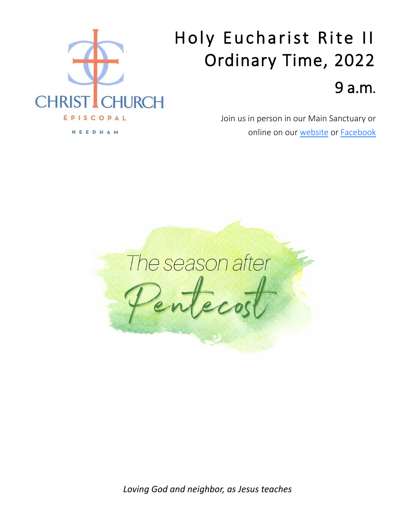

# Holy Eucharist Rite II Ordinary Time, 2022 9 a.m.

Join us in person in our Main Sanctuary or online on our [website](https://ccneedham.org/) or [Facebook](https://www.facebook.com/christchurchneedham/)



*Loving God and neighbor, as Jesus teaches*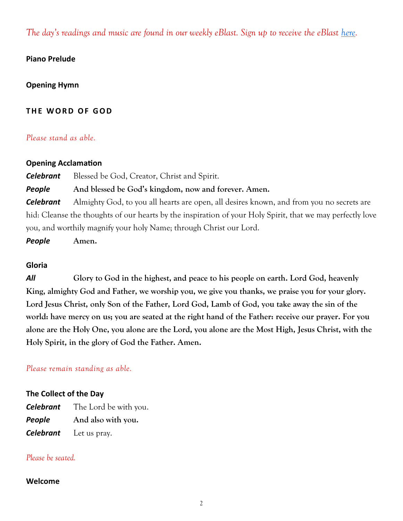*The day's readings and music are found in our weekly eBlast. Sign up to receive the eBlast [here.](https://ccneedham.org/sign-up-for-our-email-list/)* 

#### **Piano Prelude**

### **Opening Hymn**

### **THE WORD OF GOD**

#### *Please stand as able.*

#### **Opening Acclamation**

*Celebrant* Blessed be God, Creator, Christ and Spirit.

### *People* **And blessed be God's kingdom, now and forever. Amen.**

*Celebrant* Almighty God, to you all hearts are open, all desires known, and from you no secrets are hid: Cleanse the thoughts of our hearts by the inspiration of your Holy Spirit, that we may perfectly love you, and worthily magnify your holy Name; through Christ our Lord.

*People* **Amen.**

#### **Gloria**

*All* **Glory to God in the highest, and peace to his people on earth. Lord God, heavenly King, almighty God and Father, we worship you, we give you thanks, we praise you for your glory. Lord Jesus Christ, only Son of the Father, Lord God, Lamb of God, you take away the sin of the world: have mercy on us; you are seated at the right hand of the Father: receive our prayer. For you alone are the Holy One, you alone are the Lord, you alone are the Most High, Jesus Christ, with the Holy Spirit, in the glory of God the Father. Amen.** 

#### *Please remain standing as able.*

#### **The Collect of the Day**

*Celebrant* The Lord be with you. *People* **And also with you.** *Celebrant* Let us pray.

#### *Please be seated.*

#### **Welcome**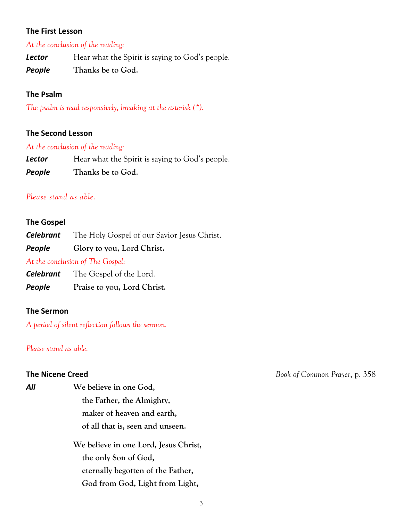#### **The First Lesson**

#### *At the conclusion of the reading:*

**Lector** Hear what the Spirit is saying to God's people.

*People* **Thanks be to God.**

#### **The Psalm**

*The psalm is read responsively, breaking at the asterisk (\*).*

#### **The Second Lesson**

#### *At the conclusion of the reading:*

| Lector | Hear what the Spirit is saying to God's people. |
|--------|-------------------------------------------------|
| People | Thanks be to God.                               |

#### *Please stand as able.*

#### **The Gospel**

*Celebrant* The Holy Gospel of our Savior Jesus Christ.

*People* **Glory to you, Lord Christ.**

*At the conclusion of The Gospel:*

*Celebrant* The Gospel of the Lord.

*People* **Praise to you, Lord Christ.**

#### **The Sermon**

*A period of silent reflection follows the sermon.*

*Please stand as able.* 

*All* **We believe in one God, the Father, the Almighty, maker of heaven and earth, of all that is, seen and unseen.**

> **We believe in one Lord, Jesus Christ, the only Son of God, eternally begotten of the Father, God from God, Light from Light,**

**The Nicene Creed** *Book of Common Prayer*, p. 358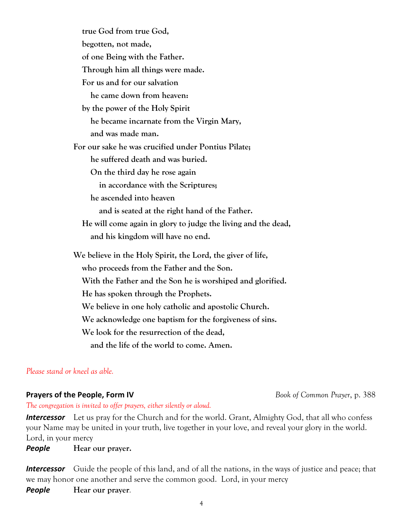| true God from true God,                                       |
|---------------------------------------------------------------|
| begotten, not made,                                           |
| of one Being with the Father.                                 |
| Through him all things were made.                             |
| For us and for our salvation                                  |
| he came down from heaven:                                     |
| by the power of the Holy Spirit                               |
| he became incarnate from the Virgin Mary,                     |
| and was made man.                                             |
| For our sake he was crucified under Pontius Pilate;           |
| he suffered death and was buried.                             |
| On the third day he rose again                                |
| in accordance with the Scriptures;                            |
| he ascended into heaven                                       |
| and is seated at the right hand of the Father.                |
| He will come again in glory to judge the living and the dead, |
| and his kingdom will have no end.                             |
| We believe in the Holy Spirit, the Lord, the giver of life,   |
| who proceeds from the Father and the Son.                     |
| With the Father and the Son he is worshiped and glorified.    |
| He has spoken through the Prophets.                           |
| We believe in one holy catholic and apostolic Church.         |
| We acknowledge one baptism for the forgiveness of sins.       |
| We look for the resurrection of the dead,                     |

 **and the life of the world to come. Amen.**

*Please stand or kneel as able.*

## **Prayers of the People, Form IV** *Book of Common Prayer***, p. 388**

*The congregation is invited to offer prayers, either silently or aloud.*

*Intercessor* Let us pray for the Church and for the world. Grant, Almighty God, that all who confess your Name may be united in your truth, live together in your love, and reveal your glory in the world. Lord, in your mercy

*People* **Hear our prayer.**

*Intercessor* Guide the people of this land, and of all the nations, in the ways of justice and peace; that we may honor one another and serve the common good. Lord, in your mercy

*People* **Hear our prayer***.*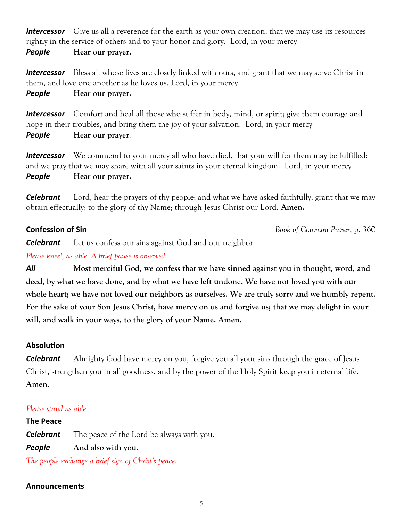**Intercessor** Give us all a reverence for the earth as your own creation, that we may use its resources rightly in the service of others and to your honor and glory. Lord, in your mercy

*People* **Hear our prayer.**

**Intercessor** Bless all whose lives are closely linked with ours, and grant that we may serve Christ in them, and love one another as he loves us. Lord, in your mercy

*People* **Hear our prayer.**

**Intercessor** Comfort and heal all those who suffer in body, mind, or spirit; give them courage and hope in their troubles, and bring them the joy of your salvation. Lord, in your mercy

*People* **Hear our prayer***.*

**Intercessor** We commend to your mercy all who have died, that your will for them may be fulfilled; and we pray that we may share with all your saints in your eternal kingdom. Lord, in your mercy *People* **Hear our prayer.**

*Celebrant* Lord, hear the prayers of thy people; and what we have asked faithfully, grant that we may obtain effectually; to the glory of thy Name; through Jesus Christ our Lord. **Amen.**

**Confession of Sin** *Book of Common Prayer*, p. 360

*Celebrant* Let us confess our sins against God and our neighbor.

*Please kneel, as able. A brief pause is observed.*

*All* **Most merciful God, we confess that we have sinned against you in thought, word, and deed, by what we have done, and by what we have left undone. We have not loved you with our whole heart; we have not loved our neighbors as ourselves. We are truly sorry and we humbly repent. For the sake of your Son Jesus Christ, have mercy on us and forgive us; that we may delight in your will, and walk in your ways, to the glory of your Name. Amen.**

#### **Absolution**

*Celebrant* Almighty God have mercy on you, forgive you all your sins through the grace of Jesus Christ, strengthen you in all goodness, and by the power of the Holy Spirit keep you in eternal life. **Amen.** 

#### *Please stand as able.*

**The Peace** *Celebrant* The peace of the Lord be always with you. *People* **And also with you.**

*The people exchange a brief sign of Christ's peace.*

#### **Announcements**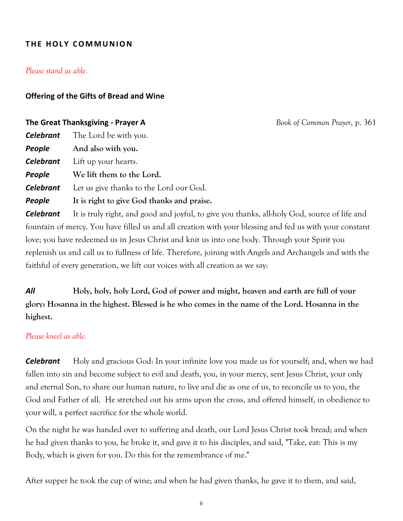### **THE HOLY COMMUNION**

#### *Please stand as able.*

#### **Offering of the Gifts of Bread and Wine**

#### **The Great Thanksgiving - Prayer A** *Book of Common Prayer*, p. 361

| Let us give thanks to the Lord our God.    |
|--------------------------------------------|
| It is right to give God thanks and praise. |
|                                            |

*Celebrant* It is truly right, and good and joyful, to give you thanks, all-holy God, source of life and fountain of mercy. You have filled us and all creation with your blessing and fed us with your constant love; you have redeemed us in Jesus Christ and knit us into one body. Through your Spirit you replenish us and call us to fullness of life. Therefore, joining with Angels and Archangels and with the faithful of every generation, we lift our voices with all creation as we say:

*All* **Holy, holy, holy Lord, God of power and might, heaven and earth are full of your glory: Hosanna in the highest. Blessed is he who comes in the name of the Lord. Hosanna in the highest.**

#### *Please kneel as able.*

*Celebrant* Holy and gracious God: In your infinite love you made us for yourself; and, when we had fallen into sin and become subject to evil and death, you, in your mercy, sent Jesus Christ, your only and eternal Son, to share our human nature, to live and die as one of us, to reconcile us to you, the God and Father of all. He stretched out his arms upon the cross, and offered himself, in obedience to your will, a perfect sacrifice for the whole world.

On the night he was handed over to suffering and death, our Lord Jesus Christ took bread; and when he had given thanks to you, he broke it, and gave it to his disciples, and said, "Take, eat: This is my Body, which is given for you. Do this for the remembrance of me."

After supper he took the cup of wine; and when he had given thanks, he gave it to them, and said,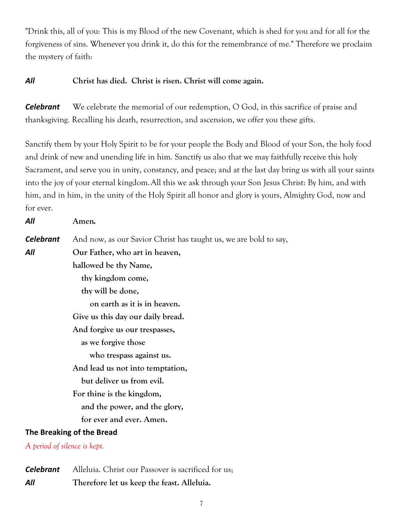"Drink this, all of you: This is my Blood of the new Covenant, which is shed for you and for all for the forgiveness of sins. Whenever you drink it, do this for the remembrance of me." Therefore we proclaim the mystery of faith:

### *All* **Christ has died. Christ is risen. Christ will come again.**

*Celebrant* We celebrate the memorial of our redemption, O God, in this sacrifice of praise and thanksgiving. Recalling his death, resurrection, and ascension, we offer you these gifts.

Sanctify them by your Holy Spirit to be for your people the Body and Blood of your Son, the holy food and drink of new and unending life in him. Sanctify us also that we may faithfully receive this holy Sacrament, and serve you in unity, constancy, and peace; and at the last day bring us with all your saints into the joy of your eternal kingdom.All this we ask through your Son Jesus Christ: By him, and with him, and in him, in the unity of the Holy Spirit all honor and glory is yours, Almighty God, now and for ever.

| All                          | Amen.                                                            |
|------------------------------|------------------------------------------------------------------|
| <b>Celebrant</b>             | And now, as our Savior Christ has taught us, we are bold to say, |
| All                          | Our Father, who art in heaven,                                   |
|                              | hallowed be thy Name,                                            |
|                              | thy kingdom come,                                                |
|                              | thy will be done,                                                |
|                              | on earth as it is in heaven.                                     |
|                              | Give us this day our daily bread.                                |
|                              | And forgive us our trespasses,                                   |
|                              | as we forgive those                                              |
|                              | who trespass against us.                                         |
|                              | And lead us not into temptation,                                 |
|                              | but deliver us from evil.                                        |
|                              | For thine is the kingdom,                                        |
|                              | and the power, and the glory,                                    |
|                              | for ever and ever. Amen.                                         |
| The Breaking of the Bread    |                                                                  |
| A period of silence is kept. |                                                                  |
|                              |                                                                  |

*Celebrant* Alleluia. Christ our Passover is sacrificed for us; *All* **Therefore let us keep the feast. Alleluia.**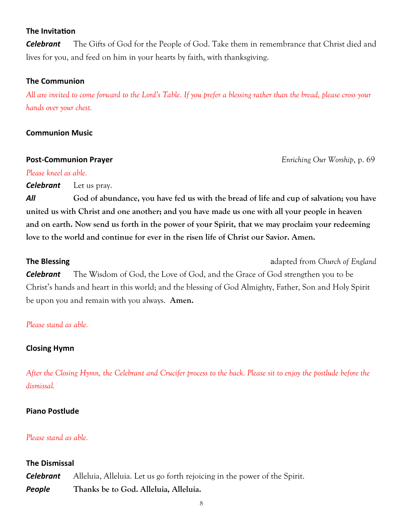#### **The Invitation**

*Celebrant* The Gifts of God for the People of God. Take them in remembrance that Christ died and lives for you, and feed on him in your hearts by faith, with thanksgiving.

#### **The Communion**

*All are invited to come forward to the Lord's Table. If you prefer a blessing rather than the bread, please cross your hands over your chest.*

#### **Communion Music**

**Post-Communion Prayer** *Enriching Our Worship*, p. 69

#### *Please kneel as able.*

*Celebrant* Let us pray.

*All* **God of abundance, you have fed us with the bread of life and cup of salvation; you have united us with Christ and one another; and you have made us one with all your people in heaven and on earth. Now send us forth in the power of your Spirit, that we may proclaim your redeeming love to the world and continue for ever in the risen life of Christ our Savior. Amen.** 

**The Blessing adapted from** *Church of England* **adapted from** *Church of England* 

*Celebrant* The Wisdom of God, the Love of God, and the Grace of God strengthen you to be Christ's hands and heart in this world; and the blessing of God Almighty, Father, Son and Holy Spirit be upon you and remain with you always. **Amen.** 

#### *Please stand as able.*

#### **Closing Hymn**

*After the Closing Hymn, the Celebrant and Crucifer process to the back. Please sit to enjoy the postlude before the dismissal.* 

#### **Piano Postlude**

#### *Please stand as able.*

#### **The Dismissal**

*Celebrant* Alleluia, Alleluia. Let us go forth rejoicing in the power of the Spirit. *People* **Thanks be to God. Alleluia, Alleluia.**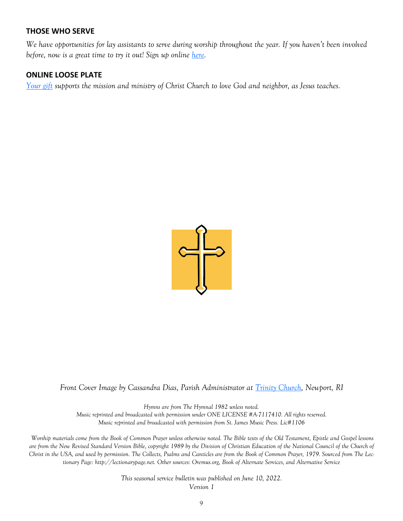#### **THOSE WHO SERVE**

*We have opportunities for lay assistants to serve during worship throughout the year. If you haven't been involved before, now is a great time to try it out! Sign up online [here.](https://ccneedham.org/sign-up-for-lay-service/)* 

#### **ONLINE LOOSE PLATE**

*[Your gift](https://onrealm.org/ccneedham/give/looseplate) supports the mission and ministry of Christ Church to love God and neighbor, as Jesus teaches.*



*Front Cover Image by Cassandra Dias, Parish Administrator at [Trinity Church,](https://www.trinitynewport.org/) Newport, RI* 

*Hymns are from The Hymnal 1982 unless noted.* 

*Music reprinted and broadcasted with permission under ONE LICENSE #A-7117410. All rights reserved. Music reprinted and broadcasted with permission from St. James Music Press. Lic#1106*

*Worship materials come from the Book of Common Prayer unless otherwise noted. The Bible texts of the Old Testament, Epistle and Gospel lessons are from the New Revised Standard Version Bible, copyright 1989 by the Division of Christian Education of the National Council of the Church of Christ in the USA, and used by permission. The Collects, Psalms and Canticles are from the Book of Common Prayer, 1979. Sourced from The Lectionary Page: http://lectionarypage.net. Other sources: Oremus.org, Book of Alternate Services, and Alternative Service* 

> *This seasonal service bulletin was published on June 10, 2022. Version 1*